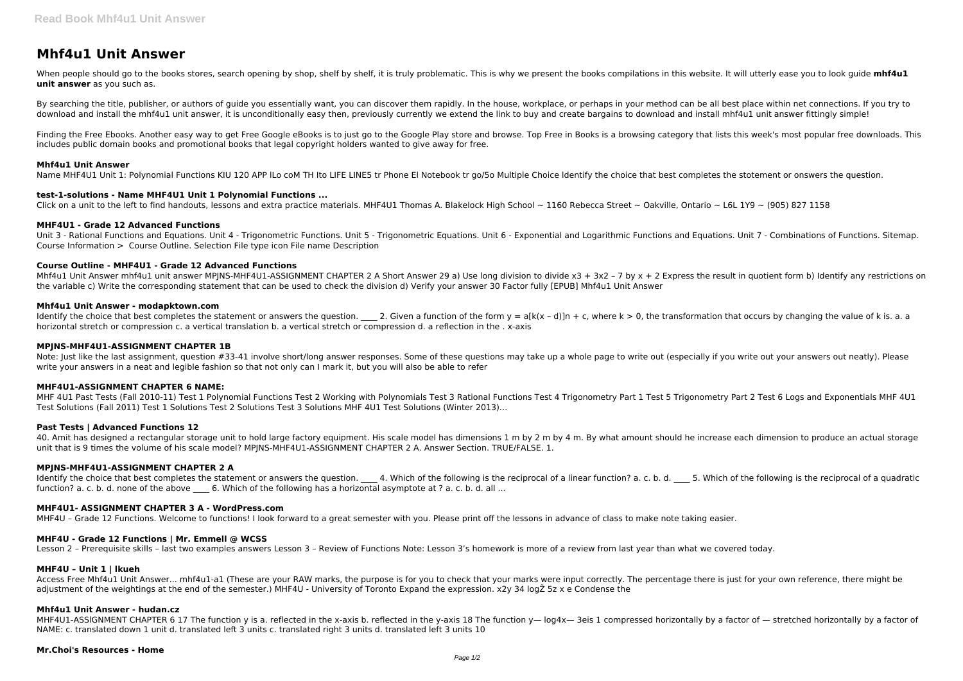# **Mhf4u1 Unit Answer**

When people should go to the books stores, search opening by shop, shelf by shelf, it is truly problematic. This is why we present the books compilations in this website. It will utterly ease you to look guide mhf4u1 **unit answer** as you such as.

By searching the title, publisher, or authors of quide you essentially want, you can discover them rapidly. In the house, workplace, or perhaps in your method can be all best place within net connections. If you try to download and install the mhf4u1 unit answer, it is unconditionally easy then, previously currently we extend the link to buy and create bargains to download and install mhf4u1 unit answer fittingly simple!

Finding the Free Ebooks. Another easy way to get Free Google eBooks is to just go to the Google Play store and browse. Top Free in Books is a browsing category that lists this week's most popular free downloads. This includes public domain books and promotional books that legal copyright holders wanted to give away for free.

#### **Mhf4u1 Unit Answer**

Name MHF4U1 Unit 1: Polynomial Functions KIU 120 APP ILo coM TH Ito LIFE LINE5 tr Phone El Notebook tr go/5o Multiple Choice Identify the choice that best completes the stotement or onswers the question.

Mhf4u1 Unit Answer mhf4u1 unit answer MPJNS-MHF4U1-ASSIGNMENT CHAPTER 2 A Short Answer 29 a) Use long division to divide x3 + 3x2 - 7 by x + 2 Express the result in quotient form b) Identify any restrictions on the variable c) Write the corresponding statement that can be used to check the division d) Verify your answer 30 Factor fully [EPUB] Mhf4u1 Unit Answer

# **test-1-solutions - Name MHF4U1 Unit 1 Polynomial Functions ...**

Click on a unit to the left to find handouts, lessons and extra practice materials. MHF4U1 Thomas A. Blakelock High School ~ 1160 Rebecca Street ~ Oakville, Ontario ~ L6L 1Y9 ~ (905) 827 1158

Identify the choice that best completes the statement or answers the question. <br>2. Given a function of the form y = a[k(x - d)]n + c, where k > 0, the transformation that occurs by changing the value of k is. a. a horizontal stretch or compression c. a vertical translation b. a vertical stretch or compression d. a reflection in the . x-axis

Note: Just like the last assignment, question #33-41 involve short/long answer responses. Some of these questions may take up a whole page to write out (especially if you write out your answers out neatly). Please write your answers in a neat and legible fashion so that not only can I mark it, but you will also be able to refer

# **MHF4U1 - Grade 12 Advanced Functions**

Unit 3 - Rational Functions and Equations. Unit 4 - Trigonometric Functions. Unit 5 - Trigonometric Equations. Unit 6 - Exponential and Logarithmic Functions and Equations. Unit 7 - Combinations of Functions. Sitemap. Course Information > Course Outline. Selection File type icon File name Description

# **Course Outline - MHF4U1 - Grade 12 Advanced Functions**

#### **Mhf4u1 Unit Answer - modapktown.com**

Access Free Mhf4u1 Unit Answer... mhf4u1-a1 (These are your RAW marks, the purpose is for you to check that your marks were input correctly. The percentage there is just for your own reference, there might be adjustment of the weightings at the end of the semester.) MHF4U - University of Toronto Expand the expression. x2y 34 logŽ 5z x e Condense the

MHF4U1-ASSIGNMENT CHAPTER 6 17 The function y is a. reflected in the x-axis b. reflected in the y-axis 18 The function y— log4x— 3eis 1 compressed horizontally by a factor of — stretched horizontally by a factor of NAME: c. translated down 1 unit d. translated left 3 units c. translated right 3 units d. translated left 3 units 10

# **MPJNS-MHF4U1-ASSIGNMENT CHAPTER 1B**

# **MHF4U1-ASSIGNMENT CHAPTER 6 NAME:**

MHF 4U1 Past Tests (Fall 2010-11) Test 1 Polynomial Functions Test 2 Working with Polynomials Test 3 Rational Functions Test 4 Trigonometry Part 1 Test 5 Trigonometry Part 2 Test 6 Logs and Exponentials MHF 4U1 Test Solutions (Fall 2011) Test 1 Solutions Test 2 Solutions Test 3 Solutions MHF 4U1 Test Solutions (Winter 2013)…

# **Past Tests | Advanced Functions 12**

40. Amit has designed a rectangular storage unit to hold large factory equipment. His scale model has dimensions 1 m by 2 m by 4 m. By what amount should he increase each dimension to produce an actual storage unit that is 9 times the volume of his scale model? MPJNS-MHF4U1-ASSIGNMENT CHAPTER 2 A. Answer Section. TRUE/FALSE. 1.

# **MPJNS-MHF4U1-ASSIGNMENT CHAPTER 2 A**

Identify the choice that best completes the statement or answers the question. 4. Which of the following is the reciprocal of a linear function? a. c. b. d. 5. Which of the following is the reciprocal of a quadratic function? a. c. b. d. none of the above 6. Which of the following has a horizontal asymptote at ? a. c. b. d. all ...

# **MHF4U1- ASSIGNMENT CHAPTER 3 A - WordPress.com**

MHF4U – Grade 12 Functions. Welcome to functions! I look forward to a great semester with you. Please print off the lessons in advance of class to make note taking easier.

# **MHF4U - Grade 12 Functions | Mr. Emmell @ WCSS**

Lesson 2 – Prerequisite skills – last two examples answers Lesson 3 – Review of Functions Note: Lesson 3's homework is more of a review from last year than what we covered today.

#### **MHF4U – Unit 1 | lkueh**

# **Mhf4u1 Unit Answer - hudan.cz**

#### **Mr.Choi's Resources - Home**